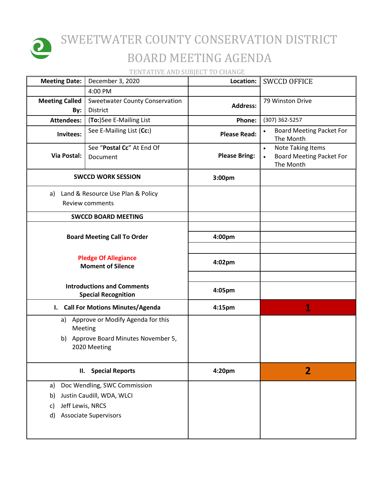

## SWEETWATER COUNTY CONSERVATION DISTRICT BOARD MEETING AGENDA

TENTATIVE AND SUBJECT TO CHANGE

| <b>Meeting Date:</b>         | December 3, 2020                                                | Location:            | <b>SWCCD OFFICE</b>                                                                                |
|------------------------------|-----------------------------------------------------------------|----------------------|----------------------------------------------------------------------------------------------------|
|                              | 4:00 PM                                                         |                      |                                                                                                    |
| <b>Meeting Called</b><br>By: | <b>Sweetwater County Conservation</b><br><b>District</b>        | <b>Address:</b>      | 79 Winston Drive                                                                                   |
| <b>Attendees:</b>            | (To:)See E-Mailing List                                         | Phone:               | (307) 362-5257                                                                                     |
| Invitees:                    | See E-Mailing List (Cc:)                                        | <b>Please Read:</b>  | <b>Board Meeting Packet For</b><br>$\bullet$<br>The Month                                          |
| Via Postal:                  | See "Postal Cc" At End Of<br>Document                           | <b>Please Bring:</b> | <b>Note Taking Items</b><br>$\bullet$<br><b>Board Meeting Packet For</b><br>$\bullet$<br>The Month |
|                              | <b>SWCCD WORK SESSION</b>                                       | 3:00pm               |                                                                                                    |
| a)                           | Land & Resource Use Plan & Policy<br>Review comments            |                      |                                                                                                    |
|                              | <b>SWCCD BOARD MEETING</b>                                      |                      |                                                                                                    |
|                              |                                                                 |                      |                                                                                                    |
|                              | <b>Board Meeting Call To Order</b>                              | 4:00pm               |                                                                                                    |
|                              | <b>Pledge Of Allegiance</b>                                     | 4:02pm               |                                                                                                    |
| <b>Moment of Silence</b>     |                                                                 |                      |                                                                                                    |
|                              | <b>Introductions and Comments</b><br><b>Special Recognition</b> | 4:05pm               |                                                                                                    |
| $\mathbf{I}$ .               | <b>Call For Motions Minutes/Agenda</b>                          | 4:15pm               | 1                                                                                                  |
| Meeting                      | a) Approve or Modify Agenda for this                            |                      |                                                                                                    |
|                              | b) Approve Board Minutes November 5,<br>2020 Meeting            |                      |                                                                                                    |
|                              | II. Special Reports                                             | 4:20pm               | 2                                                                                                  |
| a)                           | Doc Wendling, SWC Commission                                    |                      |                                                                                                    |
| b)                           | Justin Caudill, WDA, WLCI                                       |                      |                                                                                                    |
| Jeff Lewis, NRCS<br>c)       |                                                                 |                      |                                                                                                    |
| d)                           | <b>Associate Supervisors</b>                                    |                      |                                                                                                    |
|                              |                                                                 |                      |                                                                                                    |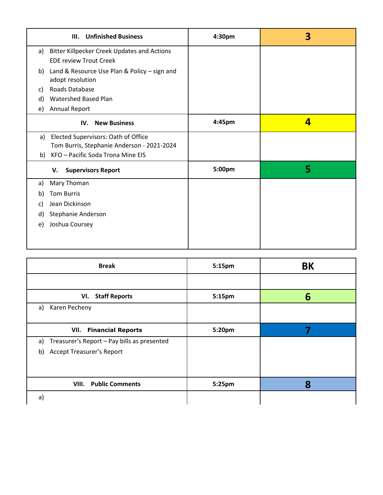| <b>Unfinished Business</b><br>III.                                                             | 4:30pm | 3 |
|------------------------------------------------------------------------------------------------|--------|---|
| <b>Bitter Killpecker Creek Updates and Actions</b><br>a)<br><b>EDE review Trout Creek</b>      |        |   |
| Land & Resource Use Plan & Policy - sign and<br>b)<br>adopt resolution                         |        |   |
| Roads Database<br>C)                                                                           |        |   |
| Watershed Based Plan<br>d)                                                                     |        |   |
| Annual Report<br>e)                                                                            |        |   |
| <b>New Business</b><br>IV.                                                                     | 4:45pm | 4 |
| <b>Elected Supervisors: Oath of Office</b><br>a)<br>Tom Burris, Stephanie Anderson - 2021-2024 |        |   |
| KFO - Pacific Soda Trona Mine EIS<br>b)                                                        |        |   |
| <b>Supervisors Report</b><br>v.                                                                | 5:00pm | 5 |
| Mary Thoman<br>a)                                                                              |        |   |
| <b>Tom Burris</b><br>b)                                                                        |        |   |
| Jean Dickinson<br>C)                                                                           |        |   |
| Stephanie Anderson<br>d)                                                                       |        |   |
| Joshua Coursey<br>e)                                                                           |        |   |
|                                                                                                |        |   |
|                                                                                                |        |   |

| <b>Break</b>                                                                                | 5:15pm | BK |
|---------------------------------------------------------------------------------------------|--------|----|
|                                                                                             |        |    |
| VI. Staff Reports                                                                           | 5:15pm | 6  |
| Karen Pecheny<br>a)                                                                         |        |    |
| <b>VII.</b> Financial Reports                                                               | 5:20pm |    |
| Treasurer's Report - Pay bills as presented<br>a)<br><b>Accept Treasurer's Report</b><br>b) |        |    |
|                                                                                             |        |    |
| <b>Public Comments</b><br>VIII.                                                             | 5:25pm | 8  |
| a)                                                                                          |        |    |